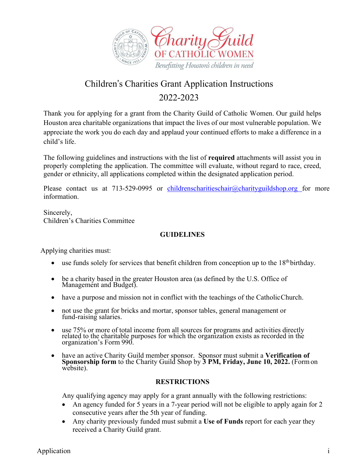

# Children's Charities Grant Application Instructions 2022-2023

Thank you for applying for a grant from the Charity Guild of Catholic Women. Our guild helps Houston area charitable organizations that impact the lives of our most vulnerable population. We appreciate the work you do each day and applaud your continued efforts to make a difference in a child's life.

The following guidelines and instructions with the list of **required** attachments will assist you in properly completing the application. The committee will evaluate, without regard to race, creed, gender or ethnicity, all applications completed within the designated application period.

Please contact us at 713-529-0995 or childrenscharitieschair@charityguildshop.org for more information.

Sincerely, Children's Charities Committee

# **GUIDELINES**

Applying charities must:

- use funds solely for services that benefit children from conception up to the 18<sup>th</sup> birthday.
- be a charity based in the greater Houston area (as defined by the U.S. Office of Management and Budget).
- have a purpose and mission not in conflict with the teachings of the CatholicChurch.
- not use the grant for bricks and mortar, sponsor tables, general management or fund-raising salaries.
- use 75% or more of total income from all sources for programs and activities directly related to the charitable purposes for which the organization exists as recorded in the organization's Form 990.
- have an active Charity Guild member sponsor. Sponsor must submit a **Verification of Sponsorship form** to the Charity Guild Shop by **3 PM, Friday, June 10, 2022.** (Formon website).

# **RESTRICTIONS**

Any qualifying agency may apply for a grant annually with the following restrictions:

- An agency funded for 5 years in a 7-year period will not be eligible to apply again for 2 consecutive years after the 5th year of funding.
- Any charity previously funded must submit a **Use of Funds** report for each year they received a Charity Guild grant.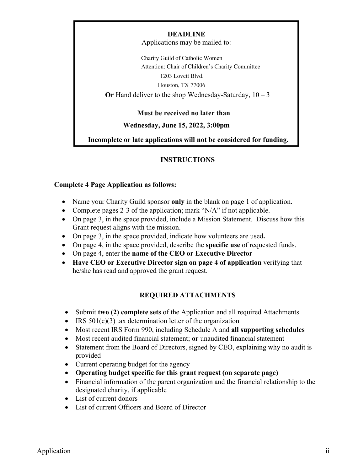#### **DEADLINE**

Applications may be mailed to:

Charity Guild of Catholic Women Attention: Chair of Children's Charity Committee 1203 Lovett Blvd. Houston, TX 77006 **Or** Hand deliver to the shop Wednesday-Saturday, 10 – 3

 **Must be received no later than**

#### **Wednesday, June 15, 2022, 3:00pm**

**Incomplete or late applications will not be considered for funding.**

## **INSTRUCTIONS**

#### **Complete 4 Page Application as follows:**

- Name your Charity Guild sponsor **only** in the blank on page 1 of application.
- Complete pages 2-3 of the application; mark "N/A" if not applicable.
- On page 3, in the space provided, include a Mission Statement. Discuss how this Grant request aligns with the mission.
- On page 3, in the space provided, indicate how volunteers are used**.**
- On page 4, in the space provided, describe the **specific use** of requested funds.
- On page 4, enter the **name of the CEO or Executive Director**
- **Have CEO or Executive Director sign on page 4 of application** verifying that he/she has read and approved the grant request.

## **REQUIRED ATTACHMENTS**

- Submit **two (2) complete sets** of the Application and all required Attachments.
- IRS  $501(c)(3)$  tax determination letter of the organization
- Most recent IRS Form 990, including Schedule A and **all supporting schedules**
- Most recent audited financial statement; **or** unaudited financial statement
- Statement from the Board of Directors, signed by CEO, explaining why no audit is provided
- Current operating budget for the agency
- **Operating budget specific for this grant request (on separate page)**
- Financial information of the parent organization and the financial relationship to the designated charity, if applicable
- List of current donors
- List of current Officers and Board of Director